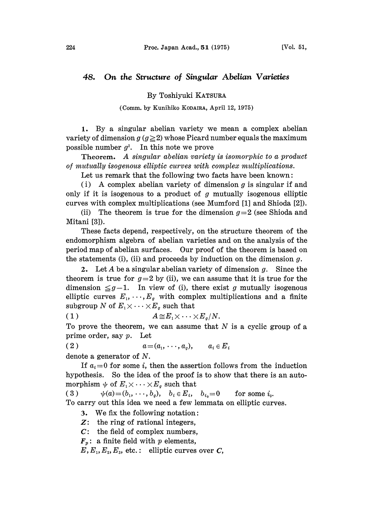## 48. On the Structure of Singular Abelian Varieties

By Toshiyuki KATSURA

(Comm. by Kunihiko KODAIRA, April 12, 1975)

1. By a singular abelian variety we mean a complex abelian variety of dimension  $g(g\geq 2)$  whose Picard number equals the maximum possible number  $q^2$ . In this note we prove

Theorem. A singular abelian variety is isomorphic to a product of mutually isogenous elliptic curves with complex multiplications.

Let us remark that the following two facts have been known:

(i) A complex abelian variety of dimension  $g$  is singular if and only if it is isogenous to a product of  $g$  mutually isogenous elliptic curves with complex multiplications (see Mumford [1] and Shioda [2]).

(ii) The theorem is true for the dimension  $g=2$  (see Shioda and Mitani [3]).

These facts depend, respectively, on the structure theorem of the endomorphism algebra of abelian varieties and on the analysis of the period map of abelian surfaces. Our proof of the theorem is based on the statements (i), (ii) and proceeds by induction on the dimension  $g$ .

2. Let A be a singular abelian variety of dimension g. Since the theorem is true for  $g=2$  by (ii), we can assume that it is true for the dimension  $\leq g-1$ . In view of (i), there exist g mutually isogenous elliptic curves  $E_1, \dots, E_g$  with complex multiplications and a finite subgroup N of  $E_1 \times \cdots \times E_g$  such that<br>(1)  $A \cong E_1 \times \cdots$ )

 $A\!\cong\!E_1\!\times\cdots\!\times\!E_g/N.$ 

To prove the theorem, we can assume that  $N$  is a cyclic group of a prime order, say  $p$ . Let

( 2 )  $a = (a_1, \dots, a_g), \quad a_i \in E_i$ 

denote a generator of N.

If  $a_i=0$  for some i, then the assertion follows from the induction hypothesis. So the idea of the proof is to show that there is an automorphism  $\psi$  of  $E_1 \times \cdots \times E_q$  such that<br>(3)  $\psi(a) = (b_1, \dots, b_q), \quad b_i \in E_i,$ 

 $\psi(a)=(b_1, \dots, b_g), \quad b_i \in E_i, \quad b_{i_0}=0 \quad \text{for some } i_0.$ To carry out this idea we need a few lemmata on elliptic curves.

3. We fix the following notation:

Z: the ring of rational integers,

 $C:$  the field of complex numbers,

 $\mathbf{F}_p$ : a finite field with p elements,

 $E, E_1, E_2, E_3$ , etc.: elliptic curves over C,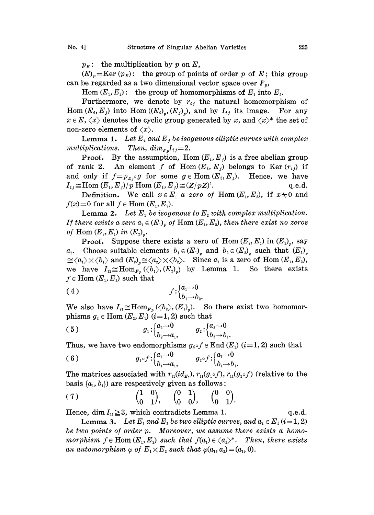$p<sub>E</sub>$ : the multiplication by p on E,

 $(E)_{p}$ =Ker  $(p_{E})$ : the group of points of order p of E; this group can be regarded as a two dimensional vector space over  $F_p$ ,

Hom  $(E_1, E_2)$ : the group of homomorphisms of  $E_1$  into  $E_2$ .

Furthermore, we denote by  $r_{ij}$  the natural homomorphism of  $(E_i, E_j)$  into Hom  $((E_i)_*, (E_j)_*)$ , and by  $I_{ij}$  its image. For any Hom  $(E_i, E_j)$  into Hom  $((E_i)_{\nu}, (E_j)_{\nu})$ , and by  $I_{ij}$  its image.  $x \in E$ ,  $\langle x \rangle$  denotes the cyclic group generated by x, and  $\langle x \rangle^*$  the set of non-zero elements of  $\langle x \rangle$ .

**Lemma 1.** Let  $E_i$  and  $E_j$  be isogenous elliptic curves with complex multiplications. Then,  $\dim_{F_p} I_{ij} = 2$ .<br>Proof. By the assumption, He

By the assumption, Hom  $(E_i, E_j)$  is a free abelian group of rank 2. An element f of Hom $(E_i, E_j)$  belongs to Ker $(r_{ij})$  if and only if  $f=p_{E_i} \circ g$  for some  $g \in \text{Hom}(E_i, E_j)$ . Hence, we have  $I_{ij} \cong \text{Hom}(E_i, E_j)/p \text{ Hom}(E_i, E_j) \cong (Z/pZ)^2.$ 

Hom  $(E_i, E_j)/p$  Hom  $(E_i, E_j) \cong (Z/pZ)^2$ . q.e.d.<br>Definition. We call  $x \in E_i$  a zero of Hom  $(E_i, E_j)$ , if  $x \neq 0$  and  $f(x)=0$  for all  $f \in$  Hom  $(E_1, E_2)$ .

**Lemma 2.** Let  $E_1$  be isogenous to  $E_2$  with complex multiplication. If there exists a zero  $a_i \in (E_1)$  of Hom  $(E_1, E_2)$ , then there exist no zeros of Hom  $(E_2, E_1)$  in  $(E_2)$ .

**Proof.** Suppose there exists a zero of Hom  $(E_2, E_1)$  in  $(E_2)$ , say  $a_2$ . Choose suitable elements  $b_1 \in (E_1)$  and  $b_2 \in (E_2)$  such that  $(E_1)$  $\cong \langle a_1 \rangle \times \langle b_1 \rangle$  and  $(E_2)_{\mathfrak{p}} \cong \langle a_2 \rangle \times \langle b_2 \rangle$ . Since  $a_1$  is a zero of Hom  $(E_1, E_2)$ , we have  $I_{12} \cong \text{Hom}_{F_p}(\langle b_1 \rangle, (E_2)_p)$  by Lemma 1. So there exists  $f \in \text{Hom }(E_1, E_2)$  such that

$$
(4) \t\t\t f:\begin{cases}a_1 \to 0\\b_1 \to b_2.\end{cases}
$$

We also have  $I_{21} \cong \text{Hom}_{F_n}(\langle b_2 \rangle, (E_1)_n)$ . So there exist two homomorphisms  $g_i \in \text{Hom}(E_i, E_i)$  (i=1,2) such that

$$
(5) \t g_1: \begin{cases} a_2 \to 0 & g_2: \begin{cases} a_2 \to 0 \\ b_2 \to a_1, \end{cases} \\ g_2: \begin{cases} a_2 \to 0 \\ b_2 \to b_1. \end{cases}
$$

Thus, we have two endomorphisms  $g_i \circ f \in$  End  $(E_1)$   $(i=1, 2)$  such that

$$
(6) \t g_1 \circ f : \begin{cases} a_1 \to 0 \\ b_1 \to a_1 \end{cases} \t g_2 \circ f : \begin{cases} a_1 \to 0 \\ b_1 \to b_1 \end{cases}
$$

The matrices associated with  $r_{11}(id_{E_1}), r_{11}(g_1 \circ f), r_{11}(g_2 \circ f)$  (relative to the basis  $\{a_1, b_1\}$  are respectively given as follows:

$$
(7) \qquad \qquad \begin{pmatrix} 1 & 0 \\ 0 & 1 \end{pmatrix}, \quad \begin{pmatrix} 0 & 1 \\ 0 & 0 \end{pmatrix}, \quad \begin{pmatrix} 0 & 0 \\ 0 & 1 \end{pmatrix}.
$$

Hence, dim  $I_{11} \geq 3$ , which contradicts Lemma 1. q.e.d.

**Lemma 3.** Let  $E_1$  and  $E_2$  be two elliptic curves, and  $a_i \in E_i$  (i=1, 2) be two points of order p. Moreover, we assume there exists a homomorphism  $f \in \text{Hom}(E_1, E_2)$  such that  $f(a_1) \in \langle a_2 \rangle^*$ . Then, there exists an automorphism  $\varphi$  of  $E_1 \times E_2$  such that  $\varphi(a_1, a_2) = (a_1, 0)$ .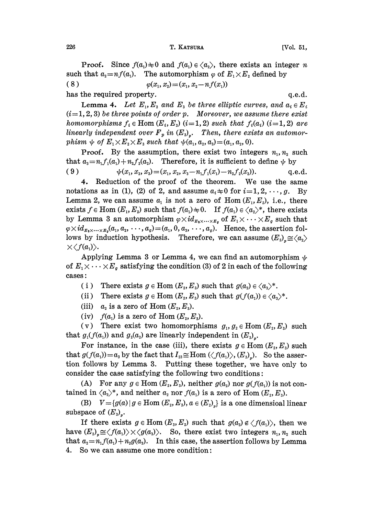**Proof.** Since  $f(a_1) \neq 0$  and  $f(a_1) \in \langle a_2 \rangle$ , there exists an integer *n* such that  $a_2=n f(a_1)$ . The automorphism  $\varphi$  of  $E_1 \times E_2$  defined by (8)  $\varphi(x_1, x_2) = (x_1, x_2 - nf(x_1))$ has the required property.  $q.e.d.$ 

**Lemma 4.** Let  $E_1, E_2$  and  $E_3$  be three elliptic curves, and  $a_i \in E_i$  $(i=1, 2, 3)$  be three points of order p. Moreover, we assume there exist homomorphisms  $f_i \in \text{Hom}(E_i, E_i)$  (i=1,2) such that  $f_i(a_i)$  (i=1,2) are linearly independent over  $F_p$  in  $(E_3)_r$ . Then, there exists an automorphism  $\psi$  of  $E_1 \times E_2 \times E_3$  such that  $\psi(a_1, a_2, a_3) = (a_1, a_2, 0).$ 

**Proof.** By the assumption, there exist two integers  $n_1$ ,  $n_2$  such that  $a_3 = n_1 f_1(a_1) + n_2 f_2(a_2)$ . Therefore, it is sufficient to define  $\psi$  by

( 9 )  $\psi(x_1, x_2, x_3) = (x_1, x_2, x_3-n_1f_1(x_1)-n_2f_2(x_2)),$  q.e.d.

4. Reduction of the proof of the theorem. We use the same notations as in (1), (2) of 2, and assume  $a_i \neq 0$  for  $i=1,2,\dots,g$ . By Lemma 2, we can assume  $a_1$  is not a zero of Hom  $(E_1, E_2)$ , i.e., there exists  $f \in \text{Hom}(E_1, E_2)$  such that  $f(a_1) \neq 0$ . If  $f(a_1) \in \langle a_2 \rangle^*$ , there exists by Lemma 3 an automorphism  $\varphi \times id_{E_3 \times \cdots \times E_q}$  of  $E_1 \times \cdots \times E_q$  such that  $\varphi \times id_{E_3 \times \cdots \times E_q}(a_1, a_2, \cdots, a_q) = (a_1, 0, a_3, \cdots, a_q).$  Hence, the assertion follows by induction hypothesis. Therefore, we can assume  $(E_2)_{p} \cong \langle a_2 \rangle$  $\times \langle f(a_1) \rangle.$ 

Applying Lemma 3 or Lemma 4, we can find an automorphism  $\psi$ of  $E_1 \times \cdots \times E_g$  satisfying the condition (3) of 2 in each of the following cases

- (i) There exists  $g \in \text{Hom}(E_2, E_3)$  such that  $g(a_2) \in \langle a_3 \rangle^*$ .
- (ii) There exists  $g \in \text{Hom}(E_z, E_3)$  such that  $g(f(a_1)) \in \langle a_3 \rangle^*$ .
- $(iii)$  $a_2$  is a zero of Hom  $(E_2, E_3)$ .
- (iv)  $f(a_1)$  is a zero of  $\text{Hom }(E_z,E_z)$ .

(v) There exist two homomorphisms  $g_1, g_2 \in \text{Hom}(E_2, E_3)$  such that  $g_1(f(a_1))$  and  $g_2(a_2)$  are linearly independent in  $(E_3)_n$ .

For instance, in the case (iii), there exists  $g \in \text{Hom}(E_z, E_z)$  such that  $g(f(a_1))=a_3$  by the fact that  $I_{23} \cong \text{Hom}(\langle f(a_1) \rangle, (E_3))$ . So the assertion follows by Lemma 3. Putting these together, we have only to consider the case satisfying the following two conditions:

(A) For any  $g \in \text{Hom}(E_z, E_z)$ , neither  $g(a_z)$  nor  $g(f(a_z))$  is not contained in  $\langle a_3 \rangle^*$ , and neither  $a_2$  nor  $f(a_1)$  is a zero of Hom  $(E_2, E_3)$ .

(B)  $V = {g(a) | g \in Hom (E_2, E_3), a \in (E_2)_n}$  is a one dimensioal linear subspace of  $(E_3)$ .

If there exists  $g \in \text{Hom}(E_3, E_2)$  such that  $g(a_3) \notin \langle f(a_1) \rangle$ , then we have  $(E_2)_*\cong \langle f(a_1)\rangle \times \langle g(a_3)\rangle$ . So, there exist two integers  $n_1, n_2$  such that  $a_2 = n_1 f(a_1) + n_2 g(a_3)$ . In this case, the assertion follows by Lemma 4. So we can assume one more condition'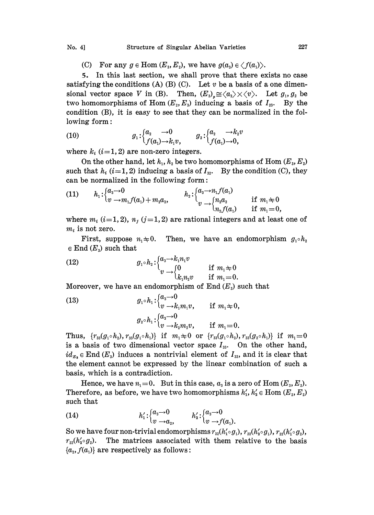## No. 4] Structure of Singular Abelian Varieties 227

(C) For any  $g \in \text{Hom}(E_3, E_2)$ , we have  $g(a_3) \in \langle f(a_1) \rangle$ .

5. In this last section, we shall prove that there exists no case satisfying the conditions (A) (B) (C). Let v be a basis of a one dimensional vector space V in (B). Then,  $(E_3)_* \cong \langle a_3 \rangle \times \langle v \rangle$ . Let  $g_1, g_2$  be two homomorphisms of Hom  $(E_2, E_3)$  inducing a basis of  $I_{23}$ . By the condition (B), it is easy to see that they can be normalized in the following form:

lowing form:

\n
$$
g_1: \begin{cases} a_2 & \to 0 \\ f(a_1) \to k_1 v, \end{cases} \qquad g_2: \begin{cases} a_2 & \to k_2 v \\ f(a_1) \to 0, \end{cases}
$$

where  $k_i$  (*i*=1, 2) are non-zero integers.

On the other hand, let  $h_1, h_2$  be two homomorphisms of Hom  $(E_3, E_2)$ such that  $h_i$  (i=1, 2) inducing a basis of  $I_{32}$ . By the condition (C), they can be normalized in the following form:

(11) 
$$
h_1: \begin{cases} a_3 \to 0 \\ v \to m_1 f(a_1) + m_2 a_2 \end{cases}
$$
  $h_2: \begin{cases} a_3 \to n_1 f(a_1) \\ v \to \begin{cases} n_2 a_2 \\ n_2 f(a_1) \end{cases}$  if  $m_1 \neq 0$    
if  $m_1 = 0$ ,

where  $m_i$  (i=1, 2),  $n_j$  (j=1, 2) are rational integers and at least one of  $m_i$  is not zero.

First, suppose  $n_1 \neq 0$ . Then, we have an endomorphism  $g_1 \circ h_2$  $\in$  End  $(E_3)$  such that

(12) 
$$
g_1 \circ h_2 : \begin{cases} a_3 \to k_1 n_1 v \\ v \to \begin{cases} 0 & \text{if } m_1 \neq 0 \\ k_1 n_2 v & \text{if } m_1 = 0. \end{cases} \end{cases}
$$

Moreover, we have an endomorphism of  $End(E_3)$  such that

(13) 
$$
g_1 \circ h_1: \begin{cases} a_3 \to 0 \\ v \to k_1 m_1 v, \end{cases} \text{ if } m_1 \neq 0, g_2 \circ h_1: \begin{cases} a_3 \to 0 \\ v \to k_2 m_2 v, \end{cases} \text{ if } m_1 = 0.
$$

Thus,  $\{r_{33}(g_1 \circ h_2), r_{33}(g_1 \circ h_1)\}$  if  $m_1 \neq 0$  or  $\{r_{33}(g_1 \circ h_2), r_{33}(g_2 \circ h_1)\}$  if  $m_1 = 0$  is a basis of two dimensional vector space  $I_{33}$ . On the other hand,  $id_{E_3} \in$  End  $(E_3)$  induces a nontrivial element of  $I_{33}$ , and it is clear that the element cannot be expressed by the linear combination of such a basis, which is a contradiction.

Hence, we have  $n_1 = 0$ . But in this case,  $a_3$  is a zero of Hom  $(E_3, E_2)$ . Therefore, as before, we have two homomorphisms  $h'_1, h'_2 \in \text{Hom}(E_2, E_2)$ such tha

(14) 
$$
h'_1: \begin{cases} a_3 \to 0 \\ v \to a_2, \end{cases} \qquad h'_2: \begin{cases} a_3 \to 0 \\ v \to f(a_1). \end{cases}
$$

So we have four non-trivial endomorphisms  $r_{22}(h'_1 \circ g_1), r_{22}(h'_2 \circ g_1), r_{22}(h'_1 \circ g_2),$  $r_{22}(h'_2 \circ g_2)$ . The matrices associated with them relative to the basis  ${a_2, f(a_1)}$  are respectively as follows: